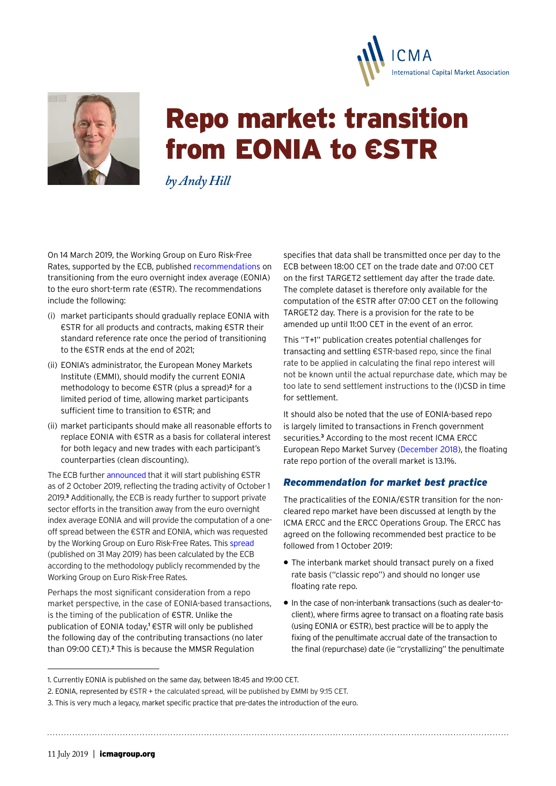



# Repo market: transition from EONIA to €STR

*by Andy Hill* 

On 14 March 2019, the Working Group on Euro Risk-Free Rates, supported by the ECB, published [recommendations](https://www.ecb.europa.eu/pub/pdf/annex/ecb.sp190314_annex_recommendation.en.pdf) on transitioning from the euro overnight index average (EONIA) to the euro short-term rate (€STR). The recommendations include the following:

- (i) market participants should gradually replace EONIA with €STR for all products and contracts, making €STR their standard reference rate once the period of transitioning to the €STR ends at the end of 2021;
- (ii) EONIA's administrator, the European Money Markets Institute (EMMI), should modify the current EONIA methodology to become €STR (plus a spread)**2** for a limited period of time, allowing market participants sufficient time to transition to €STR; and
- (ii) market participants should make all reasonable efforts to replace EONIA with €STR as a basis for collateral interest for both legacy and new trades with each participant's counterparties (clean discounting).

The ECB further [announced](https://www.ecb.europa.eu/press/pr/date/2019/html/ecb.pr190314~28790a71ef.en.html) that it will start publishing €STR as of 2 October 2019, reflecting the trading activity of October 1 2019.**3** Additionally, the ECB is ready further to support private sector efforts in the transition away from the euro overnight index average EONIA and will provide the computation of a oneoff spread between the €STR and EONIA, which was requested by the Working Group on Euro Risk-Free Rates. This [spread](https://www.ecb.europa.eu/press/pr/date/2019/html/ecb.pr190531~a3788de8f8.en.html) (published on 31 May 2019) has been calculated by the ECB according to the methodology publicly recommended by the Working Group on Euro Risk-Free Rates.

Perhaps the most significant consideration from a repo market perspective, in the case of EONIA-based transactions, is the timing of the publication of €STR. Unlike the publication of EONIA today,<sup>1</sup> €STR will only be published the following day of the contributing transactions (no later than 09:00 CET).**2** This is because the MMSR Regulation

specifies that data shall be transmitted once per day to the ECB between 18:00 CET on the trade date and 07:00 CET on the first TARGET2 settlement day after the trade date. The complete dataset is therefore only available for the computation of the €STR after 07:00 CET on the following TARGET2 day. There is a provision for the rate to be amended up until 11:00 CET in the event of an error.

This "T+1" publication creates potential challenges for transacting and settling €STR-based repo, since the final rate to be applied in calculating the final repo interest will not be known until the actual repurchase date, which may be too late to send settlement instructions to the (I)CSD in time for settlement.

It should also be noted that the use of EONIA-based repo is largely limited to transactions in French government securities.**3** According to the most recent ICMA ERCC European Repo Market Survey ([December 2018](https://www.icmagroup.org/assets/documents/Market-Info/Repo-Market-Surveys/No-36-December-2018/ICMA-European-repo-market-survey-number-36-conducted-December-2018-040419.pdf)), the floating rate repo portion of the overall market is 13.1%.

# *Recommendation for market best practice*

The practicalities of the EONIA/€STR transition for the noncleared repo market have been discussed at length by the ICMA ERCC and the ERCC Operations Group. The ERCC has agreed on the following recommended best practice to be followed from 1 October 2019:

- The interbank market should transact purely on a fixed rate basis ("classic repo") and should no longer use floating rate repo.
- In the case of non-interbank transactions (such as dealer-toclient), where firms agree to transact on a floating rate basis (using EONIA or €STR), best practice will be to apply the fixing of the penultimate accrual date of the transaction to the final (repurchase) date (ie "crystallizing" the penultimate

<sup>1.</sup> Currently EONIA is published on the same day, between 18:45 and 19:00 CET.

<sup>2.</sup> EONIA, represented by €STR + the calculated spread, will be published by EMMI by 9:15 CET.

<sup>3.</sup> This is very much a legacy, market specific practice that pre-dates the introduction of the euro.